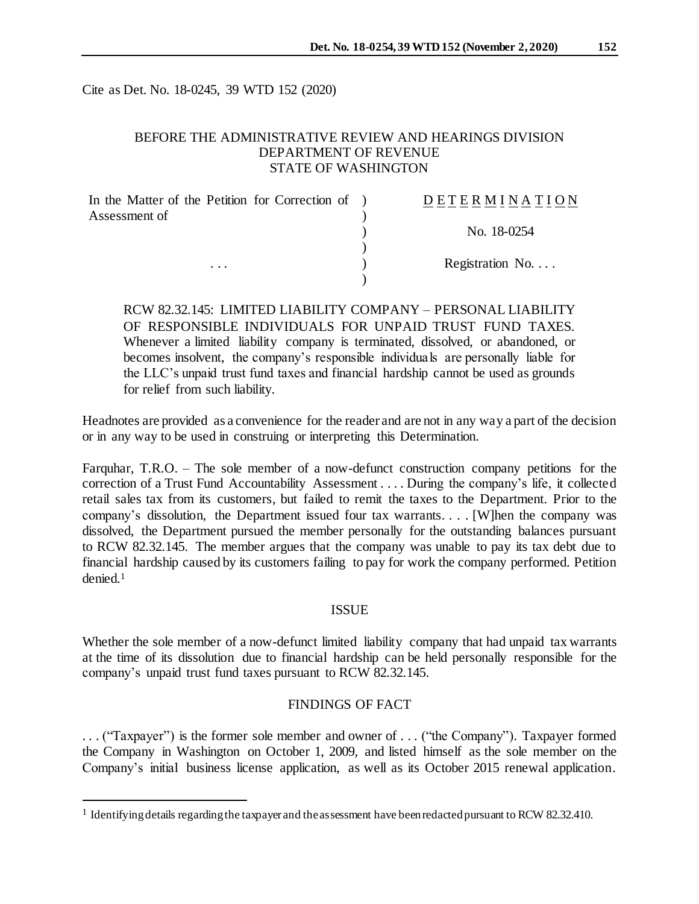Cite as Det. No. 18-0245, 39 WTD 152 (2020)

# BEFORE THE ADMINISTRATIVE REVIEW AND HEARINGS DIVISION DEPARTMENT OF REVENUE STATE OF WASHINGTON

| In the Matter of the Petition for Correction of ) | DETERMINATION            |
|---------------------------------------------------|--------------------------|
| Assessment of                                     |                          |
|                                                   | No. 18-0254              |
|                                                   |                          |
| $\cdots$                                          | Registration No. $\dots$ |
|                                                   |                          |

RCW 82.32.145: LIMITED LIABILITY COMPANY – PERSONAL LIABILITY OF RESPONSIBLE INDIVIDUALS FOR UNPAID TRUST FUND TAXES. Whenever a limited liability company is terminated, dissolved, or abandoned, or becomes insolvent, the company's responsible individuals are personally liable for the LLC's unpaid trust fund taxes and financial hardship cannot be used as grounds for relief from such liability.

Headnotes are provided as a convenience for the reader and are not in any way a part of the decision or in any way to be used in construing or interpreting this Determination.

Farquhar, T.R.O. – The sole member of a now-defunct construction company petitions for the correction of a Trust Fund Accountability Assessment . . . . During the company's life, it collected retail sales tax from its customers, but failed to remit the taxes to the Department. Prior to the company's dissolution, the Department issued four tax warrants. . . . [W]hen the company was dissolved, the Department pursued the member personally for the outstanding balances pursuant to RCW 82.32.145. The member argues that the company was unable to pay its tax debt due to financial hardship caused by its customers failing to pay for work the company performed. Petition denied.<sup>1</sup>

### ISSUE

Whether the sole member of a now-defunct limited liability company that had unpaid tax warrants at the time of its dissolution due to financial hardship can be held personally responsible for the company's unpaid trust fund taxes pursuant to RCW 82.32.145.

#### FINDINGS OF FACT

. . . ("Taxpayer") is the former sole member and owner of . . . ("the Company"). Taxpayer formed the Company in Washington on October 1, 2009, and listed himself as the sole member on the Company's initial business license application, as well as its October 2015 renewal application.

l

<sup>&</sup>lt;sup>1</sup> Identifying details regarding the taxpayer and the assessment have been redacted pursuant to RCW 82.32.410.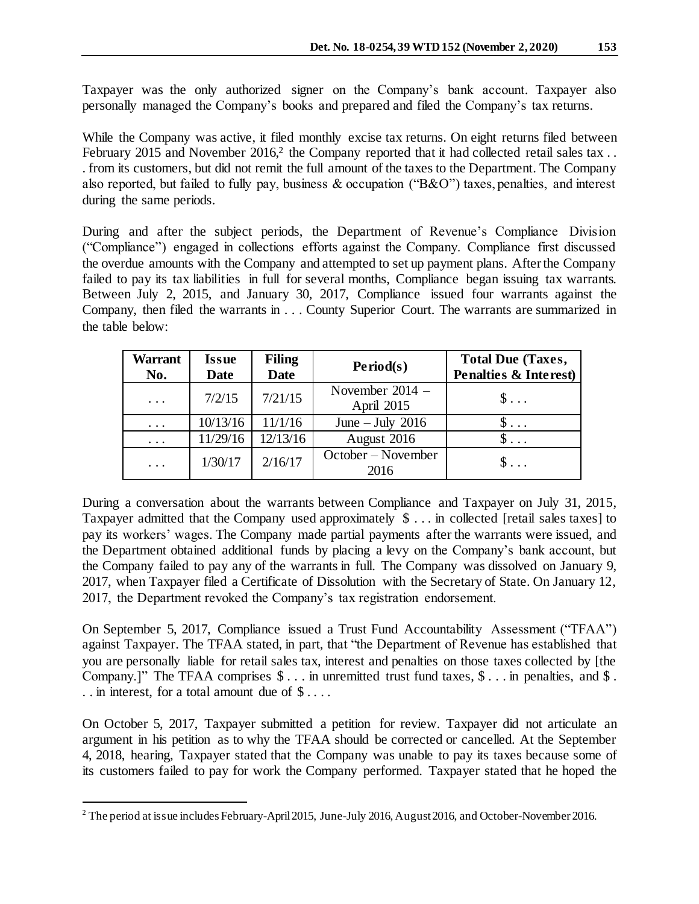Taxpayer was the only authorized signer on the Company's bank account. Taxpayer also personally managed the Company's books and prepared and filed the Company's tax returns.

While the Company was active, it filed monthly excise tax returns. On eight returns filed between February 2015 and November 2016,<sup>2</sup> the Company reported that it had collected retail sales tax... . from its customers, but did not remit the full amount of the taxes to the Department. The Company also reported, but failed to fully pay, business & occupation ("B&O") taxes, penalties, and interest during the same periods.

During and after the subject periods, the Department of Revenue's Compliance Division ("Compliance") engaged in collections efforts against the Company. Compliance first discussed the overdue amounts with the Company and attempted to set up payment plans. After the Company failed to pay its tax liabilities in full for several months, Compliance began issuing tax warrants. Between July 2, 2015, and January 30, 2017, Compliance issued four warrants against the Company, then filed the warrants in . . . County Superior Court. The warrants are summarized in the table below:

| <b>Warrant</b><br>No. | <b>Issue</b><br><b>Date</b> | <b>Filing</b><br><b>Date</b> | Period(s)                       | <b>Total Due (Taxes,</b><br><b>Penalties &amp; Interest)</b> |
|-----------------------|-----------------------------|------------------------------|---------------------------------|--------------------------------------------------------------|
| $\cdots$              | 7/2/15                      | 7/21/15                      | November $2014 -$<br>April 2015 | $\mathbb{S}$                                                 |
| $\cdots$              | 10/13/16                    | 11/1/16                      | June $-$ July 2016              | $\mathbb{S}$                                                 |
| $\cdots$              | 11/29/16                    | 12/13/16                     | August 2016                     | $\mathsf{S} \dots$                                           |
| $\cdots$              | 1/30/17                     | 2/16/17                      | October – November<br>2016      | $\mathbb{S}$                                                 |

During a conversation about the warrants between Compliance and Taxpayer on July 31, 2015, Taxpayer admitted that the Company used approximately \$ . . . in collected [retail sales taxes] to pay its workers' wages. The Company made partial payments after the warrants were issued, and the Department obtained additional funds by placing a levy on the Company's bank account, but the Company failed to pay any of the warrants in full. The Company was dissolved on January 9, 2017, when Taxpayer filed a Certificate of Dissolution with the Secretary of State. On January 12, 2017, the Department revoked the Company's tax registration endorsement.

On September 5, 2017, Compliance issued a Trust Fund Accountability Assessment ("TFAA") against Taxpayer. The TFAA stated, in part, that "the Department of Revenue has established that you are personally liable for retail sales tax, interest and penalties on those taxes collected by [the Company.]" The TFAA comprises  $\hat{\mathcal{S}}$ ... in unremitted trust fund taxes,  $\hat{\mathcal{S}}$ ... in penalties, and  $\hat{\mathcal{S}}$ . . . in interest, for a total amount due of \$ . . . .

On October 5, 2017, Taxpayer submitted a petition for review. Taxpayer did not articulate an argument in his petition as to why the TFAA should be corrected or cancelled. At the September 4, 2018, hearing, Taxpayer stated that the Company was unable to pay its taxes because some of its customers failed to pay for work the Company performed. Taxpayer stated that he hoped the

l

<sup>&</sup>lt;sup>2</sup> The period at issue includes February-April 2015, June-July 2016, August 2016, and October-November 2016.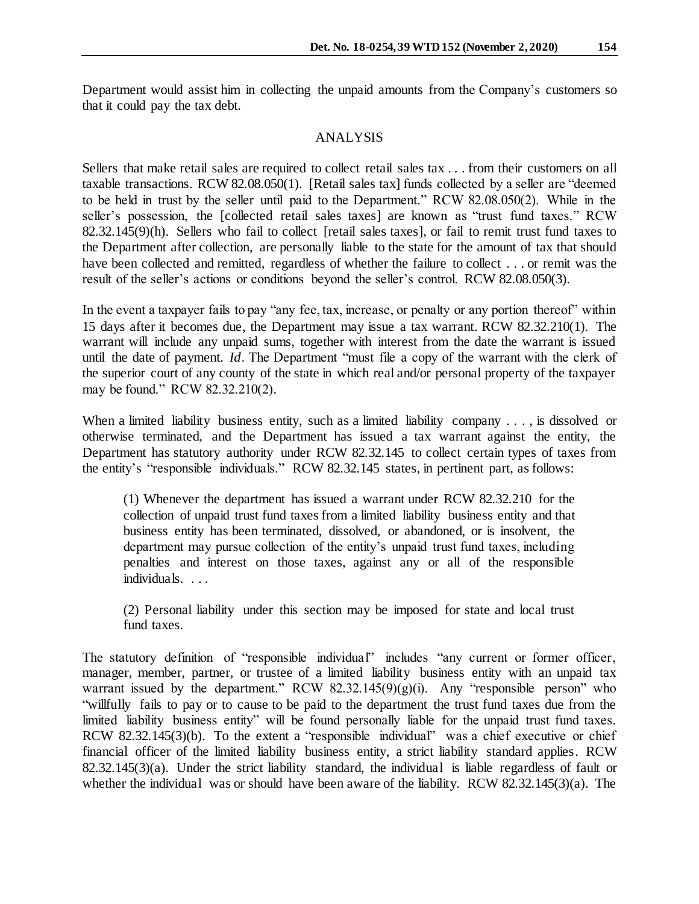Department would assist him in collecting the unpaid amounts from the Company's customers so that it could pay the tax debt.

#### ANALYSIS

Sellers that make retail sales are required to collect retail sales tax . . . from their customers on all taxable transactions. RCW 82.08.050(1). [Retail sales tax] funds collected by a seller are "deemed to be held in trust by the seller until paid to the Department." RCW 82.08.050(2). While in the seller's possession, the [collected retail sales taxes] are known as "trust fund taxes." RCW 82.32.145(9)(h). Sellers who fail to collect [retail sales taxes], or fail to remit trust fund taxes to the Department after collection, are personally liable to the state for the amount of tax that should have been collected and remitted, regardless of whether the failure to collect . . . or remit was the result of the seller's actions or conditions beyond the seller's control. RCW 82.08.050(3).

In the event a taxpayer fails to pay "any fee, tax, increase, or penalty or any portion thereof" within 15 days after it becomes due, the Department may issue a tax warrant. RCW 82.32.210(1). The warrant will include any unpaid sums, together with interest from the date the warrant is issued until the date of payment. *Id*. The Department "must file a copy of the warrant with the clerk of the superior court of any county of the state in which real and/or personal property of the taxpayer may be found." RCW 82.32.210(2).

When a limited liability business entity, such as a limited liability company . . . , is dissolved or otherwise terminated, and the Department has issued a tax warrant against the entity, the Department has statutory authority under RCW 82.32.145 to collect certain types of taxes from the entity's "responsible individuals." RCW 82.32.145 states, in pertinent part, as follows:

(1) Whenever the department has issued a warrant under RCW 82.32.210 for the collection of unpaid trust fund taxes from a limited liability business entity and that business entity has been terminated, dissolved, or abandoned, or is insolvent, the department may pursue collection of the entity's unpaid trust fund taxes, including penalties and interest on those taxes, against any or all of the responsible individuals. . . .

(2) Personal liability under this section may be imposed for state and local trust fund taxes.

The statutory definition of "responsible individual" includes "any current or former officer, manager, member, partner, or trustee of a limited liability business entity with an unpaid tax warrant issued by the department." RCW  $82.32.145(9)(g)(i)$ . Any "responsible person" who "willfully fails to pay or to cause to be paid to the department the trust fund taxes due from the limited liability business entity" will be found personally liable for the unpaid trust fund taxes. RCW 82.32.145(3)(b). To the extent a "responsible individual" was a chief executive or chief financial officer of the limited liability business entity, a strict liability standard applies. RCW  $82.32.145(3)(a)$ . Under the strict liability standard, the individual is liable regardless of fault or whether the individual was or should have been aware of the liability. RCW 82.32.145(3)(a). The